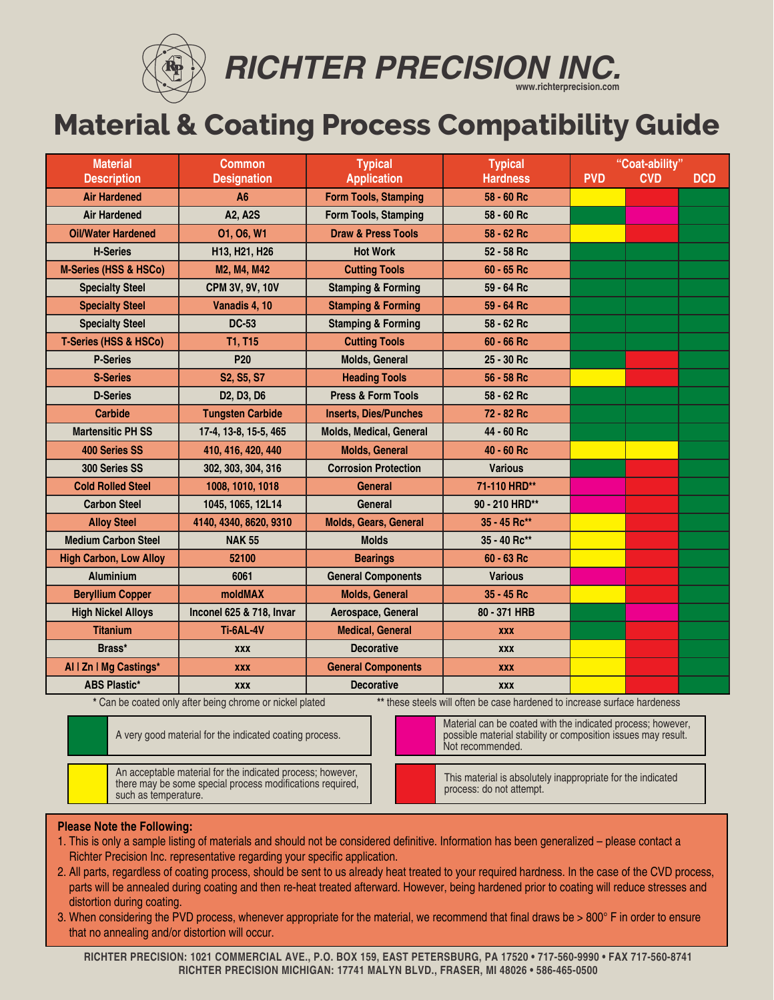

*RICHTER PRECISION INC.* **www.richterprecision.com**

## **Material & Coating Process Compatibility Guide**

| <b>Material</b>                  | <b>Common</b>                                    | <b>Typical</b>                 | <b>Typical</b>  | "Coat-ability" |            |            |
|----------------------------------|--------------------------------------------------|--------------------------------|-----------------|----------------|------------|------------|
| <b>Description</b>               | <b>Designation</b>                               | <b>Application</b>             | <b>Hardness</b> | <b>PVD</b>     | <b>CVD</b> | <b>DCD</b> |
| <b>Air Hardened</b>              | A <sub>6</sub>                                   | <b>Form Tools, Stamping</b>    | 58 - 60 Rc      |                |            |            |
| <b>Air Hardened</b>              | A2, A2S                                          | Form Tools, Stamping           | 58 - 60 Rc      |                |            |            |
| <b>Oil/Water Hardened</b>        | 01, 06, W1                                       | <b>Draw &amp; Press Tools</b>  | 58 - 62 Rc      |                |            |            |
| <b>H-Series</b>                  | H13, H21, H26                                    | <b>Hot Work</b>                | 52 - 58 Rc      |                |            |            |
| <b>M-Series (HSS &amp; HSCo)</b> | M2, M4, M42                                      | <b>Cutting Tools</b>           | $60 - 65$ Rc    |                |            |            |
| <b>Specialty Steel</b>           | CPM 3V, 9V, 10V                                  | <b>Stamping &amp; Forming</b>  | 59 - 64 Rc      |                |            |            |
| <b>Specialty Steel</b>           | Vanadis 4, 10                                    | <b>Stamping &amp; Forming</b>  | 59 - 64 Rc      |                |            |            |
| <b>Specialty Steel</b>           | <b>DC-53</b>                                     | <b>Stamping &amp; Forming</b>  | 58 - 62 Rc      |                |            |            |
| T-Series (HSS & HSCo)            | <b>T1, T15</b>                                   | <b>Cutting Tools</b>           | 60 - 66 Rc      |                |            |            |
| <b>P-Series</b>                  | P <sub>20</sub>                                  | Molds, General                 | 25 - 30 Rc      |                |            |            |
| <b>S-Series</b>                  | S2, S5, S7                                       | <b>Heading Tools</b>           | 56 - 58 Rc      |                |            |            |
| <b>D-Series</b>                  | D <sub>2</sub> , D <sub>3</sub> , D <sub>6</sub> | <b>Press &amp; Form Tools</b>  | 58 - 62 Rc      |                |            |            |
| Carbide                          | <b>Tungsten Carbide</b>                          | <b>Inserts, Dies/Punches</b>   | 72 - 82 Rc      |                |            |            |
| <b>Martensitic PH SS</b>         | 17-4, 13-8, 15-5, 465                            | <b>Molds, Medical, General</b> | 44 - 60 Rc      |                |            |            |
| <b>400 Series SS</b>             | 410, 416, 420, 440                               | <b>Molds, General</b>          | 40 - 60 Rc      |                |            |            |
| 300 Series SS                    | 302, 303, 304, 316                               | <b>Corrosion Protection</b>    | <b>Various</b>  |                |            |            |
| <b>Cold Rolled Steel</b>         | 1008, 1010, 1018                                 | <b>General</b>                 | 71-110 HRD**    |                |            |            |
| <b>Carbon Steel</b>              | 1045, 1065, 12L14                                | General                        | 90 - 210 HRD**  |                |            |            |
| <b>Alloy Steel</b>               | 4140, 4340, 8620, 9310                           | <b>Molds, Gears, General</b>   | 35 - 45 Rc**    |                |            |            |
| <b>Medium Carbon Steel</b>       | <b>NAK 55</b>                                    | <b>Molds</b>                   | 35 - 40 Rc**    |                |            |            |
| <b>High Carbon, Low Alloy</b>    | 52100                                            | <b>Bearings</b>                | 60 - 63 Rc      |                |            |            |
| <b>Aluminium</b>                 | 6061                                             | <b>General Components</b>      | <b>Various</b>  |                |            |            |
| <b>Beryllium Copper</b>          | <b>moldMAX</b>                                   | <b>Molds, General</b>          | 35 - 45 Rc      |                |            |            |
| <b>High Nickel Alloys</b>        | Inconel 625 & 718, Invar                         | Aerospace, General             | 80 - 371 HRB    |                |            |            |
| <b>Titanium</b>                  | <b>Ti-6AL-4V</b>                                 | <b>Medical, General</b>        | <b>XXX</b>      |                |            |            |
| Brass*                           | <b>XXX</b>                                       | <b>Decorative</b>              | <b>XXX</b>      |                |            |            |
| Al   Zn   Mg Castings*           | <b>XXX</b>                                       | <b>General Components</b>      | <b>XXX</b>      |                |            |            |
| <b>ABS Plastic*</b>              | <b>XXX</b>                                       | <b>Decorative</b>              | <b>XXX</b>      |                |            |            |

**\*** Can be coated only after being chrome or nickel plated **\*\*** these steels will often be case hardened to increase surface hardeness

Not recommended.

A very good material for the indicated coating process.

An acceptable material for the indicated process; however, there may be some special process modifications required, such as temperature.

This material is absolutely inappropriate for the indicated

Material can be coated with the indicated process; however, possible material stability or composition issues may result.

process: do not attempt.

## **Please Note the Following:**

- 1. This is only a sample listing of materials and should not be considered definitive. Information has been generalized please contact a Richter Precision Inc. representative regarding your specific application.
- 2. All parts, regardless of coating process, should be sent to us already heat treated to your required hardness. In the case of the CVD process, parts will be annealed during coating and then re-heat treated afterward. However, being hardened prior to coating will reduce stresses and distortion during coating.
- 3. When considering the PVD process, whenever appropriate for the material, we recommend that final draws be > 800° F in order to ensure that no annealing and/or distortion will occur.

 **RICHTER PRECISION: 1021 COMMERCIAL AVE., P.O. BOX 159, EAST PETERSBURG, PA 17520 • 717-560-9990 • FAX 717-560-8741 RICHTER PRECISION MICHIGAN: 17741 MALYN BLVD., FRASER, MI 48026 • 586-465-0500**